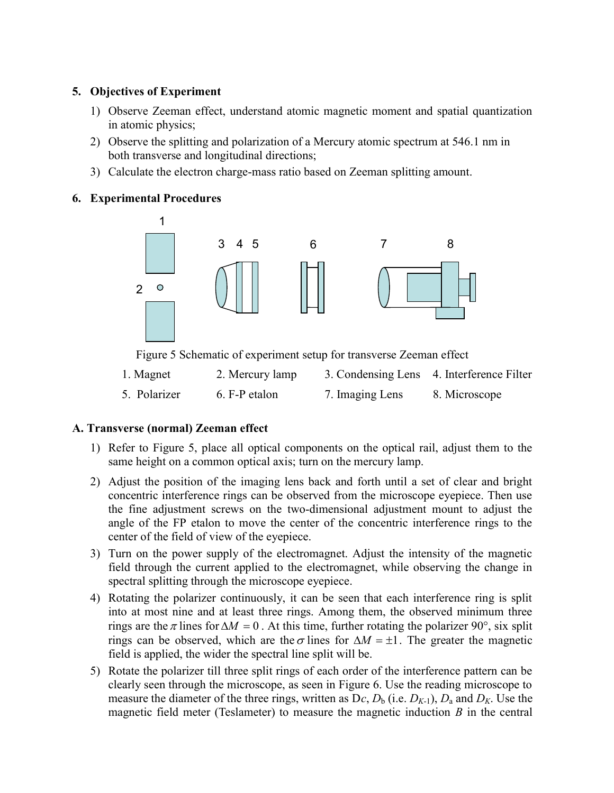## 5. Objectives of Experiment

- 1) Observe Zeeman effect, understand atomic magnetic moment and spatial quantization in atomic physics;
- 2) Observe the splitting and polarization of a Mercury atomic spectrum at 546.1 nm in both transverse and longitudinal directions;
- 3) Calculate the electron charge-mass ratio based on Zeeman splitting amount.

## 6. Experimental Procedures



Figure 5 Schematic of experiment setup for transverse Zeeman effect

| 1. Magnet    | 2. Mercury lamp |                 | 3. Condensing Lens 4. Interference Filter |
|--------------|-----------------|-----------------|-------------------------------------------|
| 5. Polarizer | 6. F-P etalon   | 7. Imaging Lens | 8. Microscope                             |

# A. Transverse (normal) Zeeman effect

- 1) Refer to Figure 5, place all optical components on the optical rail, adjust them to the same height on a common optical axis; turn on the mercury lamp.
- 2) Adjust the position of the imaging lens back and forth until a set of clear and bright concentric interference rings can be observed from the microscope eyepiece. Then use the fine adjustment screws on the two-dimensional adjustment mount to adjust the angle of the FP etalon to move the center of the concentric interference rings to the center of the field of view of the eyepiece.
- 3) Turn on the power supply of the electromagnet. Adjust the intensity of the magnetic field through the current applied to the electromagnet, while observing the change in spectral splitting through the microscope eyepiece.
- 4) Rotating the polarizer continuously, it can be seen that each interference ring is split into at most nine and at least three rings. Among them, the observed minimum three rings are the  $\pi$  lines for  $\Delta M = 0$ . At this time, further rotating the polarizer 90°, six split rings can be observed, which are the  $\sigma$  lines for  $\Delta M = \pm 1$ . The greater the magnetic field is applied, the wider the spectral line split will be.
- 5) Rotate the polarizer till three split rings of each order of the interference pattern can be clearly seen through the microscope, as seen in Figure 6. Use the reading microscope to measure the diameter of the three rings, written as  $Dc, D_b$  (i.e.  $D_{K-1}$ ),  $D_a$  and  $D_K$ . Use the magnetic field meter (Teslameter) to measure the magnetic induction  $B$  in the central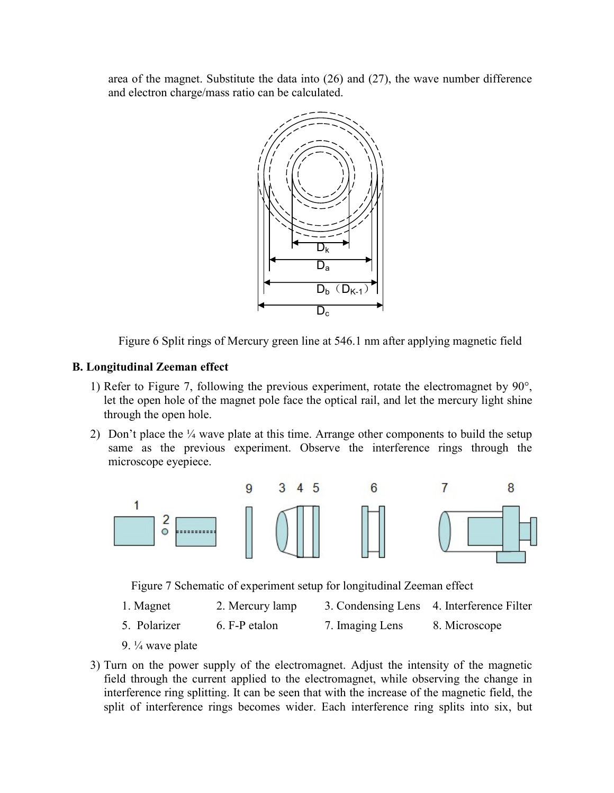area of the magnet. Substitute the data into (26) and (27), the wave number difference and electron charge/mass ratio can be calculated.



Figure 6 Split rings of Mercury green line at 546.1 nm after applying magnetic field

#### B. Longitudinal Zeeman effect

- 1) Refer to Figure 7, following the previous experiment, rotate the electromagnet by  $90^\circ$ , let the open hole of the magnet pole face the optical rail, and let the mercury light shine through the open hole.
- 2) Don't place the  $\frac{1}{4}$  wave plate at this time. Arrange other components to build the setup same as the previous experiment. Observe the interference rings through the microscope eyepiece.



Figure 7 Schematic of experiment setup for longitudinal Zeeman effect

- 1. Magnet 2. Mercury lamp 3. Condensing Lens 4. Interference Filter
- 5. Polarizer 6. F-P etalon 7. Imaging Lens 8. Microscope
- 9. ¼ wave plate
- 3) Turn on the power supply of the electromagnet. Adjust the intensity of the magnetic field through the current applied to the electromagnet, while observing the change in interference ring splitting. It can be seen that with the increase of the magnetic field, the split of interference rings becomes wider. Each interference ring splits into six, but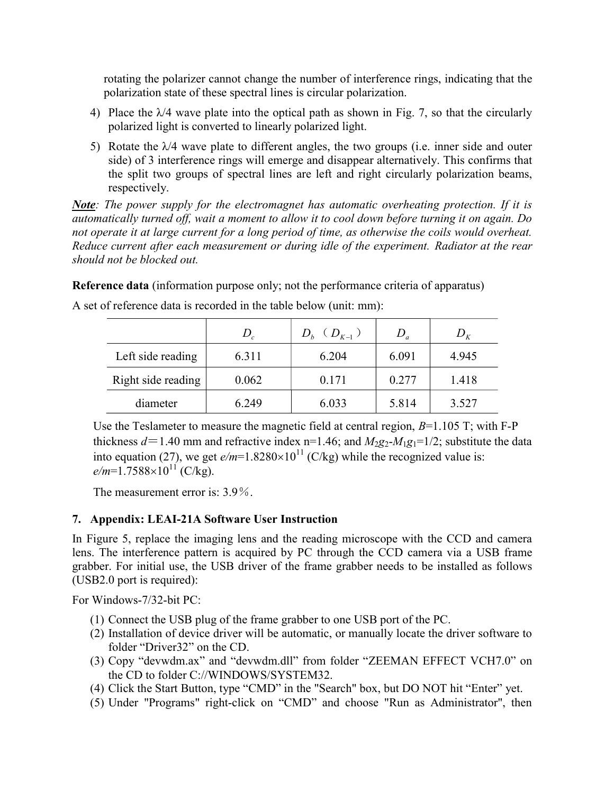rotating the polarizer cannot change the number of interference rings, indicating that the polarization state of these spectral lines is circular polarization.

- 4) Place the  $\lambda$ 4 wave plate into the optical path as shown in Fig. 7, so that the circularly polarized light is converted to linearly polarized light.
- 5) Rotate the  $\lambda$ 4 wave plate to different angles, the two groups (i.e. inner side and outer side) of 3 interference rings will emerge and disappear alternatively. This confirms that the split two groups of spectral lines are left and right circularly polarization beams, respectively.

**Note**: The power supply for the electromagnet has automatic overheating protection. If it is automatically turned off, wait a moment to allow it to cool down before turning it on again. Do not operate it at large current for a long period of time, as otherwise the coils would overheat. Reduce current after each measurement or during idle of the experiment. Radiator at the rear should not be blocked out.

Reference data (information purpose only; not the performance criteria of apparatus)

|                    | $D_c$ | $D_h$ $(D_{K-1})$ | D     |       |
|--------------------|-------|-------------------|-------|-------|
| Left side reading  | 6.311 | 6.204             | 6.091 | 4.945 |
| Right side reading | 0.062 | 0.171             | 0.277 | 1.418 |
| diameter           | 6.249 | 6.033             | 5.814 | 3.527 |

A set of reference data is recorded in the table below (unit: mm):

Use the Teslameter to measure the magnetic field at central region,  $B=1.105$  T; with F-P thickness  $d=1.40$  mm and refractive index n=1.46; and  $M_2g_2$ - $M_1g_1$ =1/2; substitute the data into equation (27), we get  $e/m=1.8280\times10^{11}$  (C/kg) while the recognized value is:  $e/m=1.7588\times10^{11}$  (C/kg).

The measurement error is: 3.9%.

#### 7. Appendix: LEAI-21A Software User Instruction

In Figure 5, replace the imaging lens and the reading microscope with the CCD and camera lens. The interference pattern is acquired by PC through the CCD camera via a USB frame grabber. For initial use, the USB driver of the frame grabber needs to be installed as follows (USB2.0 port is required):

For Windows-7/32-bit PC:

- (1) Connect the USB plug of the frame grabber to one USB port of the PC.
- (2) Installation of device driver will be automatic, or manually locate the driver software to folder "Driver32" on the CD.
- (3) Copy "devwdm.ax" and "devwdm.dll" from folder "ZEEMAN EFFECT VCH7.0" on the CD to folder C://WINDOWS/SYSTEM32.
- (4) Click the Start Button, type "CMD" in the "Search" box, but DO NOT hit "Enter" yet.
- (5) Under "Programs" right-click on "CMD" and choose "Run as Administrator", then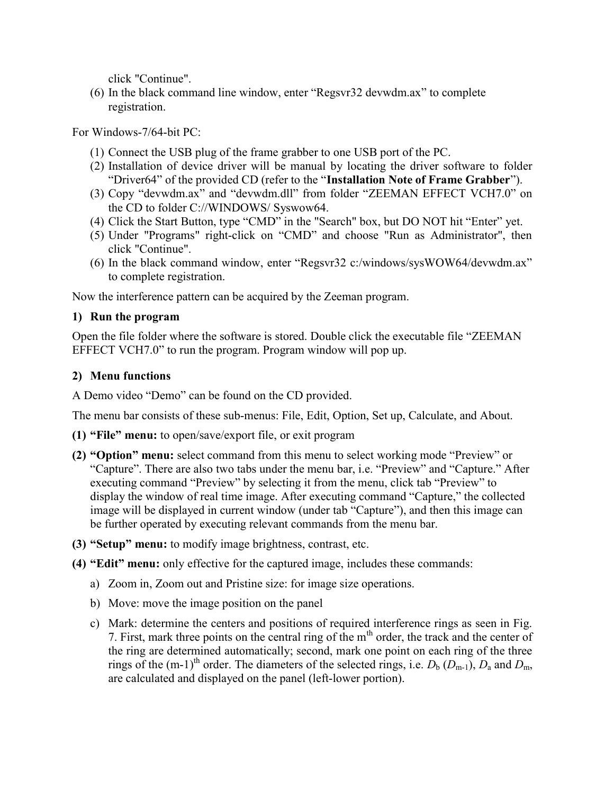click "Continue".

(6) In the black command line window, enter "Regsvr32 devwdm.ax" to complete registration.

For Windows-7/64-bit PC:

- (1) Connect the USB plug of the frame grabber to one USB port of the PC.
- (2) Installation of device driver will be manual by locating the driver software to folder "Driver64" of the provided CD (refer to the "Installation Note of Frame Grabber").
- (3) Copy "devwdm.ax" and "devwdm.dll" from folder "ZEEMAN EFFECT VCH7.0" on the CD to folder C://WINDOWS/ Syswow64.
- (4) Click the Start Button, type "CMD" in the "Search" box, but DO NOT hit "Enter" yet.
- (5) Under "Programs" right-click on "CMD" and choose "Run as Administrator", then click "Continue".
- (6) In the black command window, enter "Regsvr32 c:/windows/sysWOW64/devwdm.ax" to complete registration.

Now the interference pattern can be acquired by the Zeeman program.

## 1) Run the program

Open the file folder where the software is stored. Double click the executable file "ZEEMAN EFFECT VCH7.0" to run the program. Program window will pop up.

### 2) Menu functions

A Demo video "Demo" can be found on the CD provided.

The menu bar consists of these sub-menus: File, Edit, Option, Set up, Calculate, and About.

- (1) "File" menu: to open/save/export file, or exit program
- (2) "Option" menu: select command from this menu to select working mode "Preview" or "Capture". There are also two tabs under the menu bar, i.e. "Preview" and "Capture." After executing command "Preview" by selecting it from the menu, click tab "Preview" to display the window of real time image. After executing command "Capture," the collected image will be displayed in current window (under tab "Capture"), and then this image can be further operated by executing relevant commands from the menu bar.
- (3) "Setup" menu: to modify image brightness, contrast, etc.
- (4) "Edit" menu: only effective for the captured image, includes these commands:
	- a) Zoom in, Zoom out and Pristine size: for image size operations.
	- b) Move: move the image position on the panel
	- c) Mark: determine the centers and positions of required interference rings as seen in Fig. 7. First, mark three points on the central ring of the  $m<sup>th</sup>$  order, the track and the center of the ring are determined automatically; second, mark one point on each ring of the three rings of the (m-1)<sup>th</sup> order. The diameters of the selected rings, i.e.  $D_b$  ( $D_{m-1}$ ),  $D_a$  and  $D_m$ , are calculated and displayed on the panel (left-lower portion).